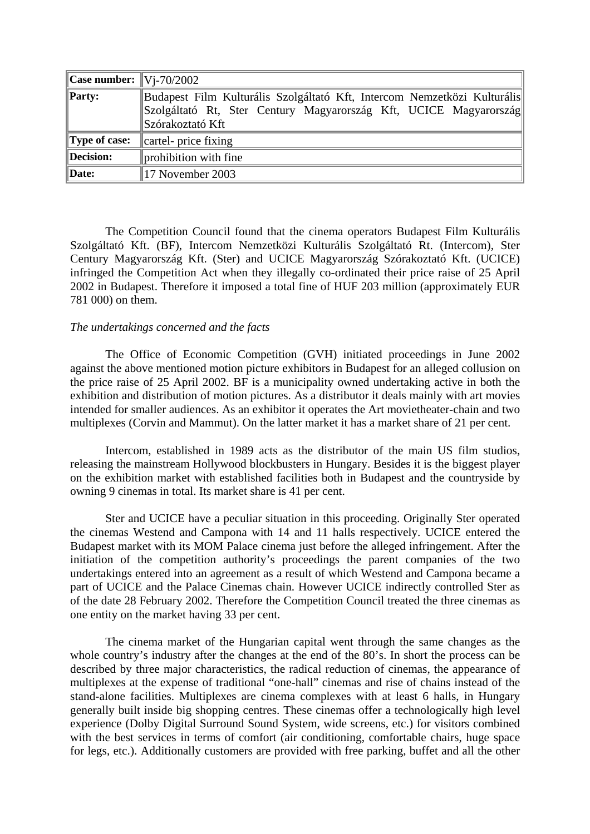| <b>Case number:</b> $\sqrt{V_1 - 70/2002}$ |                                                                                                                                                                   |
|--------------------------------------------|-------------------------------------------------------------------------------------------------------------------------------------------------------------------|
| $\ $ <b>Party:</b>                         | Budapest Film Kulturális Szolgáltató Kft, Intercom Nemzetközi Kulturális<br>Szolgáltató Rt, Ster Century Magyarország Kft, UCICE Magyarország<br>Szórakoztató Kft |
| Type of case:                              | cartel- price fixing                                                                                                                                              |
| Decision:                                  | prohibition with fine                                                                                                                                             |
| Date:                                      | 17 November 2003                                                                                                                                                  |

The Competition Council found that the cinema operators Budapest Film Kulturális Szolgáltató Kft. (BF), Intercom Nemzetközi Kulturális Szolgáltató Rt. (Intercom), Ster Century Magyarország Kft. (Ster) and UCICE Magyarország Szórakoztató Kft. (UCICE) infringed the Competition Act when they illegally co-ordinated their price raise of 25 April 2002 in Budapest. Therefore it imposed a total fine of HUF 203 million (approximately EUR 781 000) on them.

## *The undertakings concerned and the facts*

The Office of Economic Competition (GVH) initiated proceedings in June 2002 against the above mentioned motion picture exhibitors in Budapest for an alleged collusion on the price raise of 25 April 2002. BF is a municipality owned undertaking active in both the exhibition and distribution of motion pictures. As a distributor it deals mainly with art movies intended for smaller audiences. As an exhibitor it operates the Art movietheater-chain and two multiplexes (Corvin and Mammut). On the latter market it has a market share of 21 per cent.

Intercom, established in 1989 acts as the distributor of the main US film studios, releasing the mainstream Hollywood blockbusters in Hungary. Besides it is the biggest player on the exhibition market with established facilities both in Budapest and the countryside by owning 9 cinemas in total. Its market share is 41 per cent.

Ster and UCICE have a peculiar situation in this proceeding. Originally Ster operated the cinemas Westend and Campona with 14 and 11 halls respectively. UCICE entered the Budapest market with its MOM Palace cinema just before the alleged infringement. After the initiation of the competition authority's proceedings the parent companies of the two undertakings entered into an agreement as a result of which Westend and Campona became a part of UCICE and the Palace Cinemas chain. However UCICE indirectly controlled Ster as of the date 28 February 2002. Therefore the Competition Council treated the three cinemas as one entity on the market having 33 per cent.

The cinema market of the Hungarian capital went through the same changes as the whole country's industry after the changes at the end of the 80's. In short the process can be described by three major characteristics, the radical reduction of cinemas, the appearance of multiplexes at the expense of traditional "one-hall" cinemas and rise of chains instead of the stand-alone facilities. Multiplexes are cinema complexes with at least 6 halls, in Hungary generally built inside big shopping centres. These cinemas offer a technologically high level experience (Dolby Digital Surround Sound System, wide screens, etc.) for visitors combined with the best services in terms of comfort (air conditioning, comfortable chairs, huge space for legs, etc.). Additionally customers are provided with free parking, buffet and all the other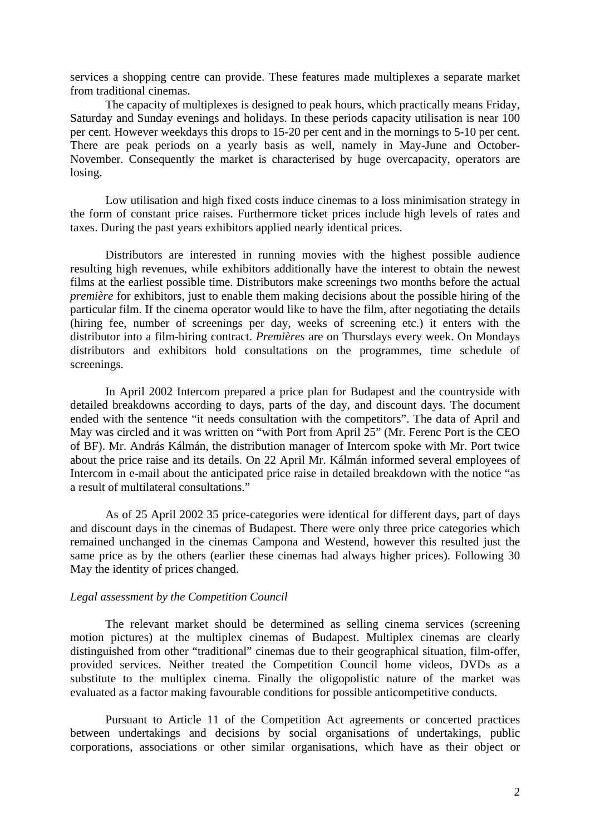services a shopping centre can provide. These features made multiplexes a separate market from traditional cinemas.

The capacity of multiplexes is designed to peak hours, which practically means Friday, Saturday and Sunday evenings and holidays. In these periods capacity utilisation is near 100 per cent. However weekdays this drops to 15-20 per cent and in the mornings to 5-10 per cent. There are peak periods on a yearly basis as well, namely in May-June and October-November. Consequently the market is characterised by huge overcapacity, operators are losing.

Low utilisation and high fixed costs induce cinemas to a loss minimisation strategy in the form of constant price raises. Furthermore ticket prices include high levels of rates and taxes. During the past years exhibitors applied nearly identical prices.

Distributors are interested in running movies with the highest possible audience resulting high revenues, while exhibitors additionally have the interest to obtain the newest films at the earliest possible time. Distributors make screenings two months before the actual *première* for exhibitors, just to enable them making decisions about the possible hiring of the particular film. If the cinema operator would like to have the film, after negotiating the details (hiring fee, number of screenings per day, weeks of screening etc.) it enters with the distributor into a film-hiring contract. *Premières* are on Thursdays every week. On Mondays distributors and exhibitors hold consultations on the programmes, time schedule of screenings.

In April 2002 Intercom prepared a price plan for Budapest and the countryside with detailed breakdowns according to days, parts of the day, and discount days. The document ended with the sentence "it needs consultation with the competitors". The data of April and May was circled and it was written on "with Port from April 25" (Mr. Ferenc Port is the CEO of BF). Mr. András Kálmán, the distribution manager of Intercom spoke with Mr. Port twice about the price raise and its details. On 22 April Mr. Kálmán informed several employees of Intercom in e-mail about the anticipated price raise in detailed breakdown with the notice "as a result of multilateral consultations."

As of 25 April 2002 35 price-categories were identical for different days, part of days and discount days in the cinemas of Budapest. There were only three price categories which remained unchanged in the cinemas Campona and Westend, however this resulted just the same price as by the others (earlier these cinemas had always higher prices). Following 30 May the identity of prices changed.

## *Legal assessment by the Competition Council*

The relevant market should be determined as selling cinema services (screening motion pictures) at the multiplex cinemas of Budapest. Multiplex cinemas are clearly distinguished from other "traditional" cinemas due to their geographical situation, film-offer, provided services. Neither treated the Competition Council home videos, DVDs as a substitute to the multiplex cinema. Finally the oligopolistic nature of the market was evaluated as a factor making favourable conditions for possible anticompetitive conducts.

Pursuant to Article 11 of the Competition Act agreements or concerted practices between undertakings and decisions by social organisations of undertakings, public corporations, associations or other similar organisations, which have as their object or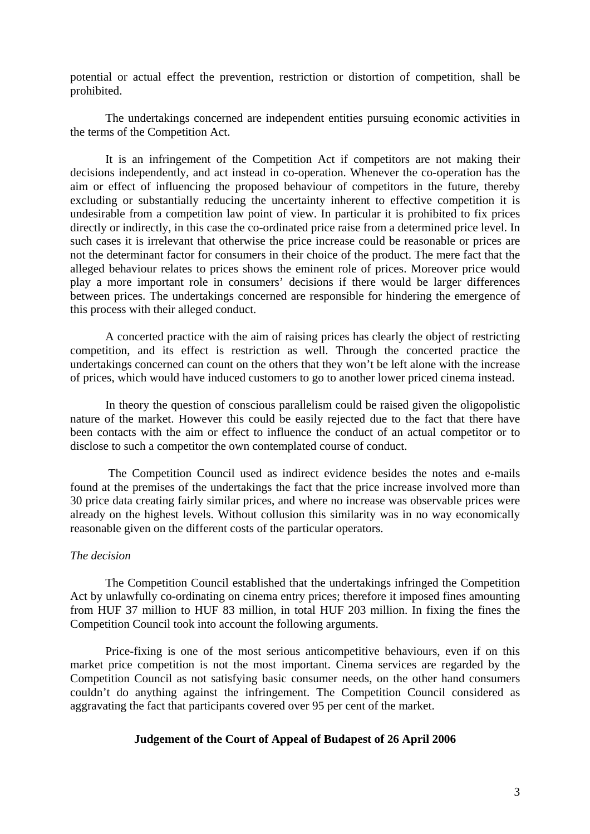potential or actual effect the prevention, restriction or distortion of competition, shall be prohibited.

The undertakings concerned are independent entities pursuing economic activities in the terms of the Competition Act.

It is an infringement of the Competition Act if competitors are not making their decisions independently, and act instead in co-operation. Whenever the co-operation has the aim or effect of influencing the proposed behaviour of competitors in the future, thereby excluding or substantially reducing the uncertainty inherent to effective competition it is undesirable from a competition law point of view. In particular it is prohibited to fix prices directly or indirectly, in this case the co-ordinated price raise from a determined price level. In such cases it is irrelevant that otherwise the price increase could be reasonable or prices are not the determinant factor for consumers in their choice of the product. The mere fact that the alleged behaviour relates to prices shows the eminent role of prices. Moreover price would play a more important role in consumers' decisions if there would be larger differences between prices. The undertakings concerned are responsible for hindering the emergence of this process with their alleged conduct.

A concerted practice with the aim of raising prices has clearly the object of restricting competition, and its effect is restriction as well. Through the concerted practice the undertakings concerned can count on the others that they won't be left alone with the increase of prices, which would have induced customers to go to another lower priced cinema instead.

In theory the question of conscious parallelism could be raised given the oligopolistic nature of the market. However this could be easily rejected due to the fact that there have been contacts with the aim or effect to influence the conduct of an actual competitor or to disclose to such a competitor the own contemplated course of conduct.

The Competition Council used as indirect evidence besides the notes and e-mails found at the premises of the undertakings the fact that the price increase involved more than 30 price data creating fairly similar prices, and where no increase was observable prices were already on the highest levels. Without collusion this similarity was in no way economically reasonable given on the different costs of the particular operators.

## *The decision*

The Competition Council established that the undertakings infringed the Competition Act by unlawfully co-ordinating on cinema entry prices; therefore it imposed fines amounting from HUF 37 million to HUF 83 million, in total HUF 203 million. In fixing the fines the Competition Council took into account the following arguments.

Price-fixing is one of the most serious anticompetitive behaviours, even if on this market price competition is not the most important. Cinema services are regarded by the Competition Council as not satisfying basic consumer needs, on the other hand consumers couldn't do anything against the infringement. The Competition Council considered as aggravating the fact that participants covered over 95 per cent of the market.

## **Judgement of the Court of Appeal of Budapest of 26 April 2006**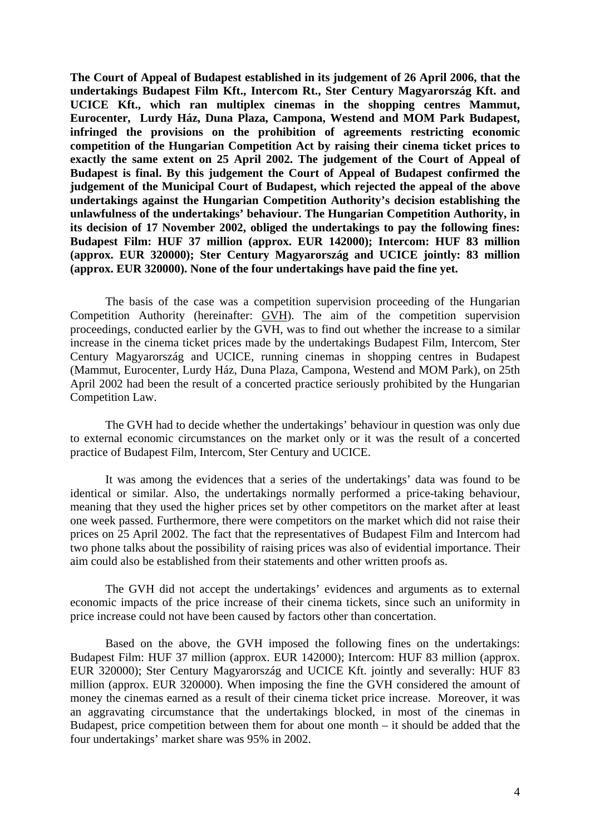**The Court of Appeal of Budapest established in its judgement of 26 April 2006, that the undertakings Budapest Film Kft., Intercom Rt., Ster Century Magyarország Kft. and UCICE Kft., which ran multiplex cinemas in the shopping centres Mammut, Eurocenter, Lurdy Ház, Duna Plaza, Campona, Westend and MOM Park Budapest, infringed the provisions on the prohibition of agreements restricting economic competition of the Hungarian Competition Act by raising their cinema ticket prices to exactly the same extent on 25 April 2002. The judgement of the Court of Appeal of Budapest is final. By this judgement the Court of Appeal of Budapest confirmed the judgement of the Municipal Court of Budapest, which rejected the appeal of the above undertakings against the Hungarian Competition Authority's decision establishing the unlawfulness of the undertakings' behaviour. The Hungarian Competition Authority, in its decision of 17 November 2002, obliged the undertakings to pay the following fines: Budapest Film: HUF 37 million (approx. EUR 142000); Intercom: HUF 83 million (approx. EUR 320000); Ster Century Magyarország and UCICE jointly: 83 million (approx. EUR 320000). None of the four undertakings have paid the fine yet.** 

The basis of the case was a competition supervision proceeding of the Hungarian Competition Authority (hereinafter: GVH). The aim of the competition supervision proceedings, conducted earlier by the GVH, was to find out whether the increase to a similar increase in the cinema ticket prices made by the undertakings Budapest Film, Intercom, Ster Century Magyarország and UCICE, running cinemas in shopping centres in Budapest (Mammut, Eurocenter, Lurdy Ház, Duna Plaza, Campona, Westend and MOM Park), on 25th April 2002 had been the result of a concerted practice seriously prohibited by the Hungarian Competition Law.

The GVH had to decide whether the undertakings' behaviour in question was only due to external economic circumstances on the market only or it was the result of a concerted practice of Budapest Film, Intercom, Ster Century and UCICE.

It was among the evidences that a series of the undertakings' data was found to be identical or similar. Also, the undertakings normally performed a price-taking behaviour, meaning that they used the higher prices set by other competitors on the market after at least one week passed. Furthermore, there were competitors on the market which did not raise their prices on 25 April 2002. The fact that the representatives of Budapest Film and Intercom had two phone talks about the possibility of raising prices was also of evidential importance. Their aim could also be established from their statements and other written proofs as.

The GVH did not accept the undertakings' evidences and arguments as to external economic impacts of the price increase of their cinema tickets, since such an uniformity in price increase could not have been caused by factors other than concertation.

Based on the above, the GVH imposed the following fines on the undertakings: Budapest Film: HUF 37 million (approx. EUR 142000); Intercom: HUF 83 million (approx. EUR 320000); Ster Century Magyarország and UCICE Kft. jointly and severally: HUF 83 million (approx. EUR 320000). When imposing the fine the GVH considered the amount of money the cinemas earned as a result of their cinema ticket price increase. Moreover, it was an aggravating circumstance that the undertakings blocked, in most of the cinemas in Budapest, price competition between them for about one month – it should be added that the four undertakings' market share was 95% in 2002.